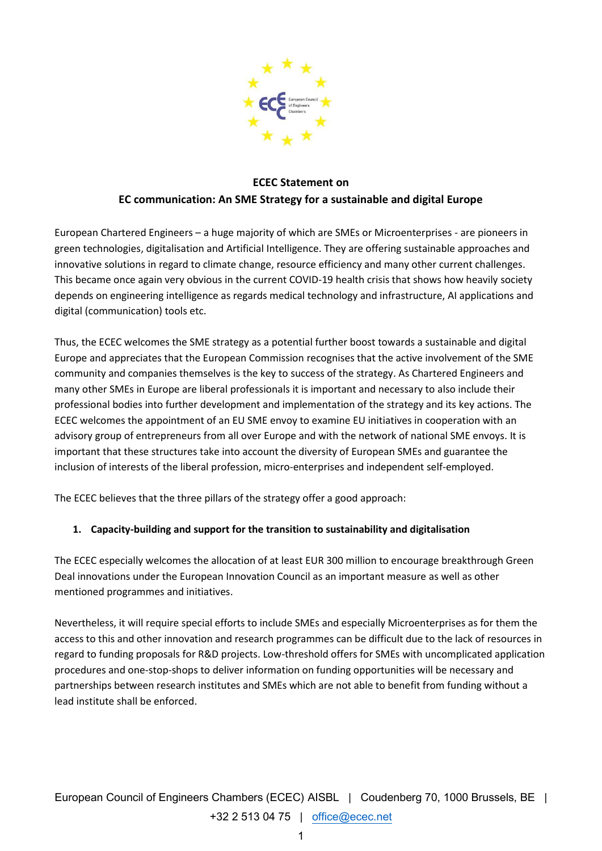

# **ECEC Statement on EC communication: An SME Strategy for a sustainable and digital Europe**

European Chartered Engineers – a huge majority of which are SMEs or Microenterprises - are pioneers in green technologies, digitalisation and Artificial Intelligence. They are offering sustainable approaches and innovative solutions in regard to climate change, resource efficiency and many other current challenges. This became once again very obvious in the current COVID-19 health crisis that shows how heavily society depends on engineering intelligence as regards medical technology and infrastructure, AI applications and digital (communication) tools etc.

Thus, the ECEC welcomes the SME strategy as a potential further boost towards a sustainable and digital Europe and appreciates that the European Commission recognises that the active involvement of the SME community and companies themselves is the key to success of the strategy. As Chartered Engineers and many other SMEs in Europe are liberal professionals it is important and necessary to also include their professional bodies into further development and implementation of the strategy and its key actions. The ECEC welcomes the appointment of an EU SME envoy to examine EU initiatives in cooperation with an advisory group of entrepreneurs from all over Europe and with the network of national SME envoys. It is important that these structures take into account the diversity of European SMEs and guarantee the inclusion of interests of the liberal profession, micro-enterprises and independent self-employed.

The ECEC believes that the three pillars of the strategy offer a good approach:

# **1. Capacity-building and support for the transition to sustainability and digitalisation**

The ECEC especially welcomes the allocation of at least EUR 300 million to encourage breakthrough Green Deal innovations under the European Innovation Council as an important measure as well as other mentioned programmes and initiatives.

Nevertheless, it will require special efforts to include SMEs and especially Microenterprises as for them the access to this and other innovation and research programmes can be difficult due to the lack of resources in regard to funding proposals for R&D projects. Low-threshold offers for SMEs with uncomplicated application procedures and one-stop-shops to deliver information on funding opportunities will be necessary and partnerships between research institutes and SMEs which are not able to benefit from funding without a lead institute shall be enforced.

European Council of Engineers Chambers (ECEC) AISBL | Coudenberg 70, 1000 Brussels, BE | +32 2 513 04 75 | [office@ecec.net](mailto:office@ecec.net)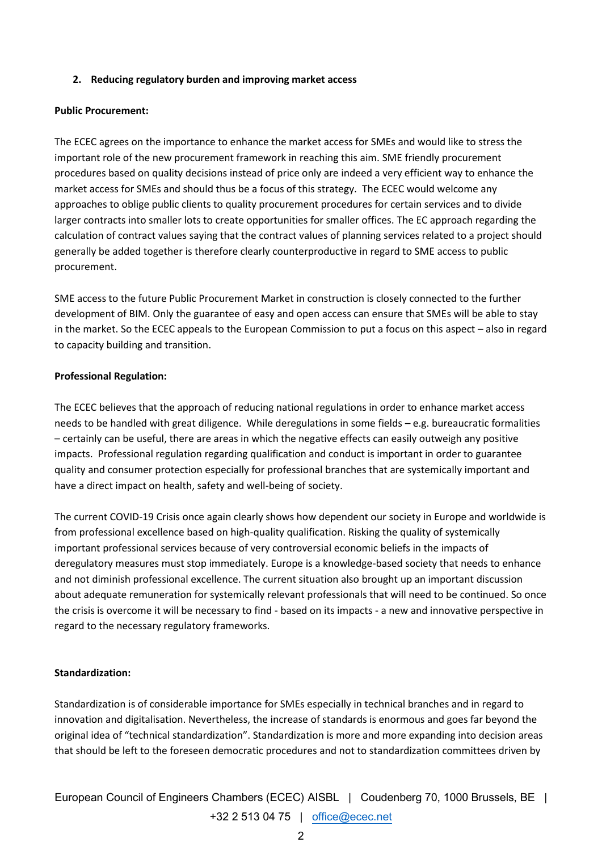#### **2. Reducing regulatory burden and improving market access**

#### **Public Procurement:**

The ECEC agrees on the importance to enhance the market access for SMEs and would like to stress the important role of the new procurement framework in reaching this aim. SME friendly procurement procedures based on quality decisions instead of price only are indeed a very efficient way to enhance the market access for SMEs and should thus be a focus of this strategy. The ECEC would welcome any approaches to oblige public clients to quality procurement procedures for certain services and to divide larger contracts into smaller lots to create opportunities for smaller offices. The EC approach regarding the calculation of contract values saying that the contract values of planning services related to a project should generally be added together is therefore clearly counterproductive in regard to SME access to public procurement.

SME access to the future Public Procurement Market in construction is closely connected to the further development of BIM. Only the guarantee of easy and open access can ensure that SMEs will be able to stay in the market. So the ECEC appeals to the European Commission to put a focus on this aspect – also in regard to capacity building and transition.

# **Professional Regulation:**

The ECEC believes that the approach of reducing national regulations in order to enhance market access needs to be handled with great diligence. While deregulations in some fields – e.g. bureaucratic formalities – certainly can be useful, there are areas in which the negative effects can easily outweigh any positive impacts. Professional regulation regarding qualification and conduct is important in order to guarantee quality and consumer protection especially for professional branches that are systemically important and have a direct impact on health, safety and well-being of society.

The current COVID-19 Crisis once again clearly shows how dependent our society in Europe and worldwide is from professional excellence based on high-quality qualification. Risking the quality of systemically important professional services because of very controversial economic beliefs in the impacts of deregulatory measures must stop immediately. Europe is a knowledge-based society that needs to enhance and not diminish professional excellence. The current situation also brought up an important discussion about adequate remuneration for systemically relevant professionals that will need to be continued. So once the crisis is overcome it will be necessary to find - based on its impacts - a new and innovative perspective in regard to the necessary regulatory frameworks.

# **Standardization:**

Standardization is of considerable importance for SMEs especially in technical branches and in regard to innovation and digitalisation. Nevertheless, the increase of standards is enormous and goes far beyond the original idea of "technical standardization". Standardization is more and more expanding into decision areas that should be left to the foreseen democratic procedures and not to standardization committees driven by

European Council of Engineers Chambers (ECEC) AISBL | Coudenberg 70, 1000 Brussels, BE | +32 2 513 04 75 | [office@ecec.net](mailto:office@ecec.net)